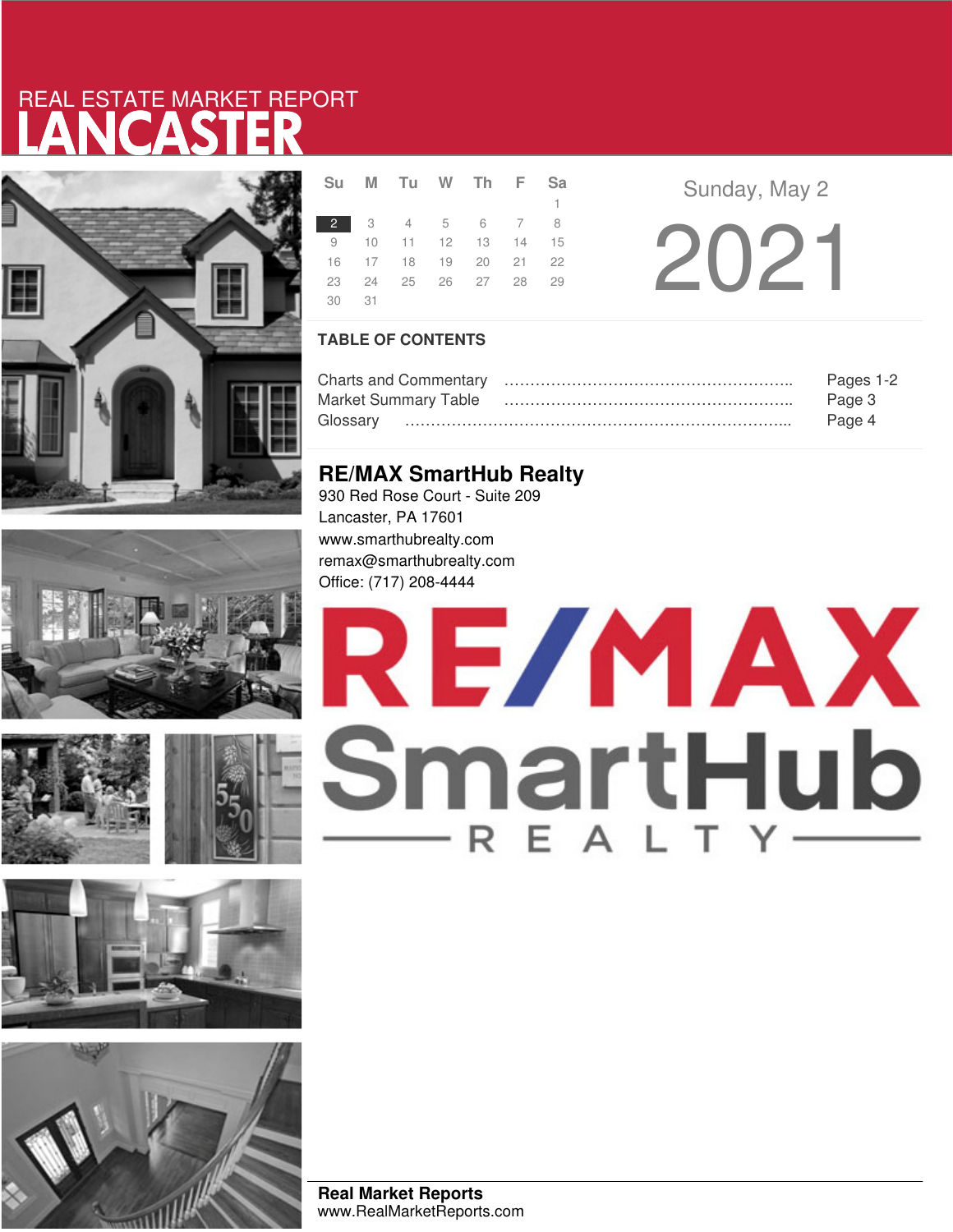# LANCASTER REAL ESTATE MARKET REPORT













|       | Sumuluw in FSa       |  |              |  |  |
|-------|----------------------|--|--------------|--|--|
|       |                      |  | $\mathbf{1}$ |  |  |
|       | 2 3 4 5 6 7 8        |  |              |  |  |
|       | 9 10 11 12 13 14 15  |  |              |  |  |
|       | 16 17 18 19 20 21 22 |  |              |  |  |
|       | 23 24 25 26 27 28 29 |  |              |  |  |
| 30 31 |                      |  |              |  |  |

**Sunday, May 2** 2021

**TABLE OF CONTENTS**

|                             | Pages 1-2 |
|-----------------------------|-----------|
| <b>Market Summary Table</b> | Page 3    |
|                             | Page 4    |

# **RE/MAX SmartHub Realty**

930 Red Rose Court - Suite 209 Lancaster, PA 17601 www.smarthubrealty.com remax@smarthubrealty.com Office: (717) 208-4444

# RE/MAX SmartHub

**Real Market Reports** www.RealMarketReports.com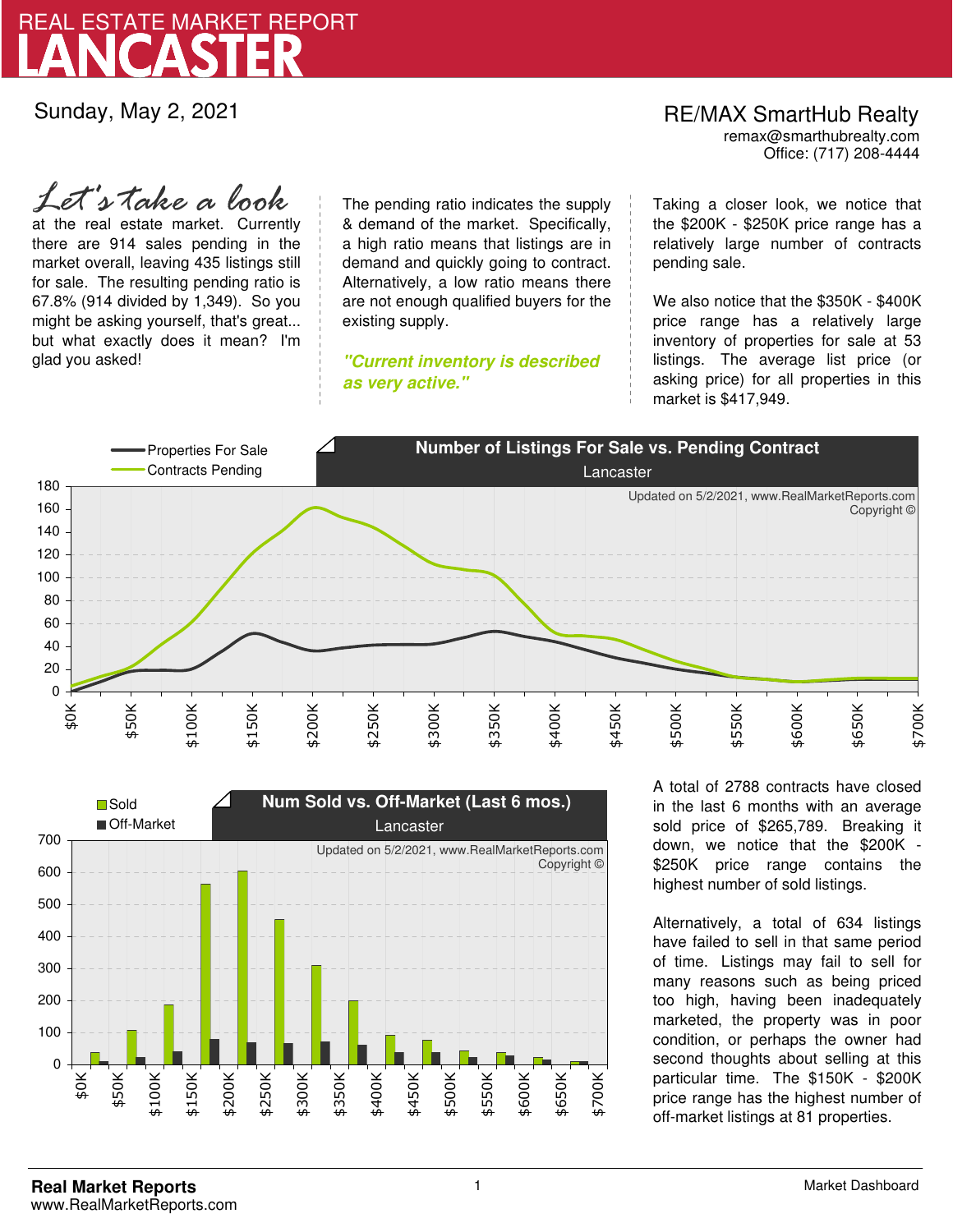

Sunday, May 2, 2021

*Let's take a look*

at the real estate market. Currently there are 914 sales pending in the market overall, leaving 435 listings still for sale. The resulting pending ratio is 67.8% (914 divided by 1,349). So you might be asking yourself, that's great... but what exactly does it mean? I'm glad you asked!

The pending ratio indicates the supply & demand of the market. Specifically, a high ratio means that listings are in demand and quickly going to contract. Alternatively, a low ratio means there are not enough qualified buyers for the existing supply.

**"Current inventory is described as very active."**

Office: (717) 208-4444 RE/MAX SmartHub Realty remax@smarthubrealty.com

Taking a closer look, we notice that the \$200K - \$250K price range has a relatively large number of contracts pending sale.

We also notice that the \$350K - \$400K price range has a relatively large inventory of properties for sale at 53 listings. The average list price (or asking price) for all properties in this market is \$417,949.





A total of 2788 contracts have closed in the last 6 months with an average sold price of \$265,789. Breaking it down, we notice that the \$200K - \$250K price range contains the highest number of sold listings.

Alternatively, a total of 634 listings have failed to sell in that same period of time. Listings may fail to sell for many reasons such as being priced too high, having been inadequately marketed, the property was in poor condition, or perhaps the owner had second thoughts about selling at this particular time. The \$150K - \$200K price range has the highest number of off-market listings at 81 properties.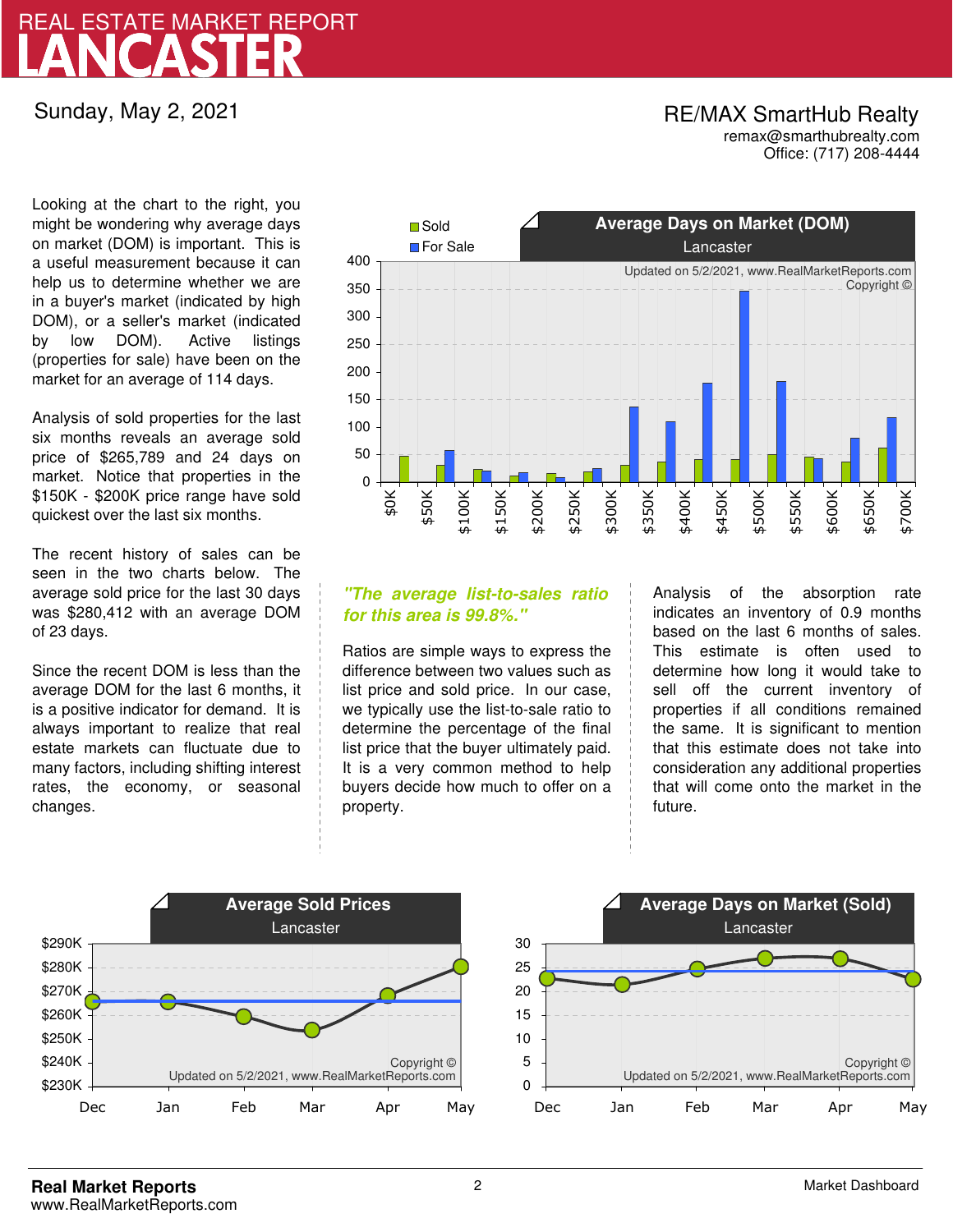# LANCASTER REAL ESTATE MARKET REPORT

Sunday, May 2, 2021

## RE/MAX SmartHub Realty remax@smarthubrealty.com

Office: (717) 208-4444

Looking at the chart to the right, you might be wondering why average days on market (DOM) is important. This is a useful measurement because it can help us to determine whether we are in a buyer's market (indicated by high DOM), or a seller's market (indicated by low DOM). Active listings (properties for sale) have been on the market for an average of 114 days.

Analysis of sold properties for the last six months reveals an average sold price of \$265,789 and 24 days on market. Notice that properties in the \$150K - \$200K price range have sold quickest over the last six months.

The recent history of sales can be seen in the two charts below. The average sold price for the last 30 days was \$280,412 with an average DOM of 23 days.

Since the recent DOM is less than the average DOM for the last 6 months, it is a positive indicator for demand. It is always important to realize that real estate markets can fluctuate due to many factors, including shifting interest rates, the economy, or seasonal changes.



## **"The average list-to-sales ratio for this area is 99.8%."**

Ratios are simple ways to express the difference between two values such as list price and sold price. In our case, we typically use the list-to-sale ratio to determine the percentage of the final list price that the buyer ultimately paid. It is a very common method to help buyers decide how much to offer on a property.

Analysis of the absorption rate indicates an inventory of 0.9 months based on the last 6 months of sales. This estimate is often used to determine how long it would take to sell off the current inventory of properties if all conditions remained the same. It is significant to mention that this estimate does not take into consideration any additional properties that will come onto the market in the future.



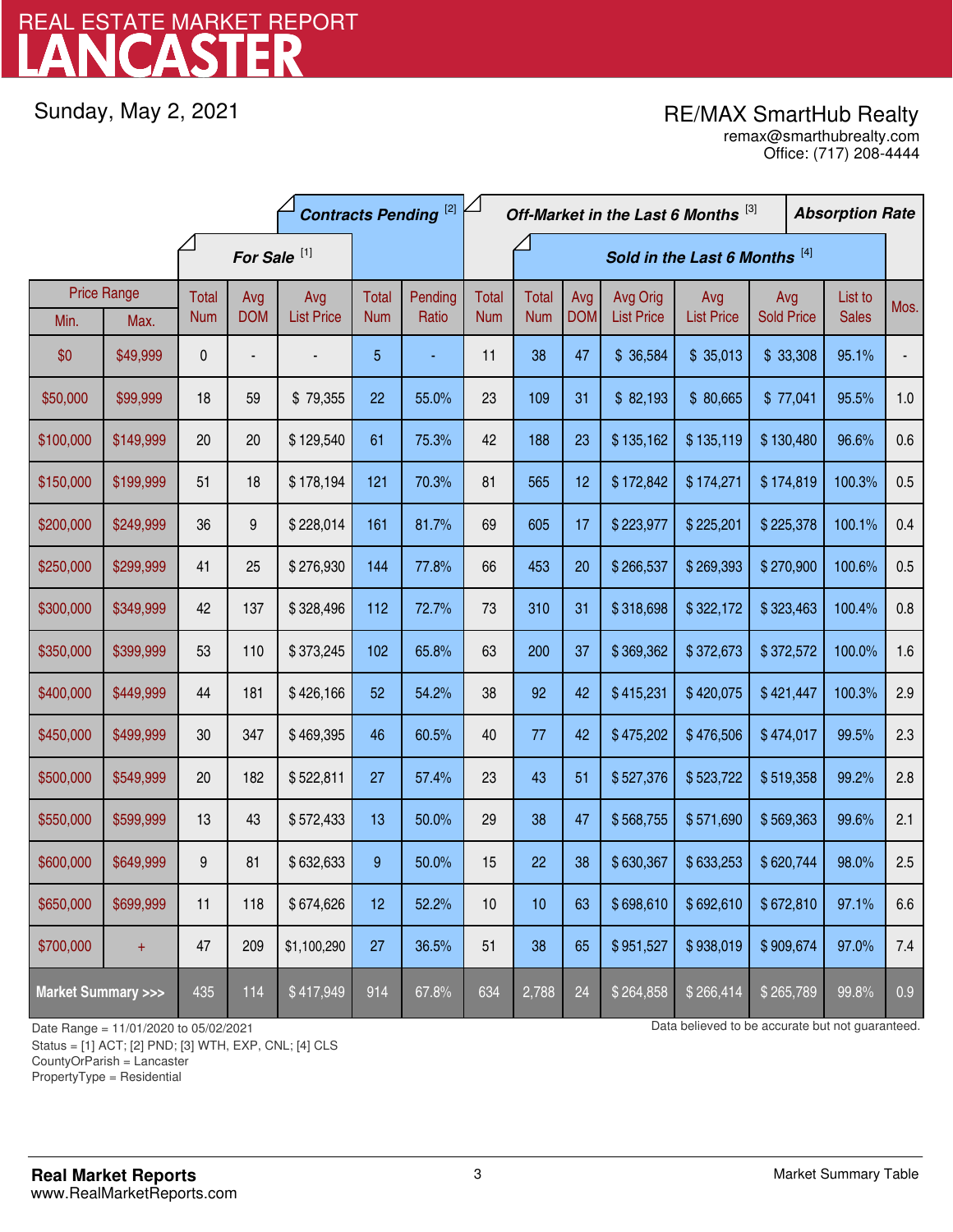# LANCASTER REAL ESTATE MARKET REPORT

Sunday, May 2, 2021

# RE/MAX SmartHub Realty

Office: (717) 208-4444 remax@smarthubrealty.com

|                                    |                    | <b>Contracts Pending [2]</b> |            |                   |            |         |              | Off-Market in the Last 6 Months [3] |                               |                   |                   |                   | <b>Absorption Rate</b> |              |      |
|------------------------------------|--------------------|------------------------------|------------|-------------------|------------|---------|--------------|-------------------------------------|-------------------------------|-------------------|-------------------|-------------------|------------------------|--------------|------|
|                                    |                    | For Sale <sup>[1]</sup>      |            |                   |            |         |              |                                     | Sold in the Last 6 Months [4] |                   |                   |                   |                        |              |      |
|                                    | <b>Price Range</b> | Total                        | Avg        | Avg               | Total      | Pending | <b>Total</b> | <b>Total</b>                        | Avg                           | Avg Orig          | Avg               | Avg               |                        | List to      | Mos. |
| Min.                               | Max.               | <b>Num</b>                   | <b>DOM</b> | <b>List Price</b> | <b>Num</b> | Ratio   | <b>Num</b>   | <b>Num</b>                          | <b>DOM</b>                    | <b>List Price</b> | <b>List Price</b> | <b>Sold Price</b> |                        | <b>Sales</b> |      |
| \$0                                | \$49,999           | 0                            |            |                   | 5          |         | 11           | 38                                  | 47                            | \$ 36,584         | \$35,013          | \$33,308          |                        | 95.1%        |      |
| \$50,000                           | \$99,999           | 18                           | 59         | \$79,355          | 22         | 55.0%   | 23           | 109                                 | 31                            | \$82,193          | \$80,665          | \$77,041          |                        | 95.5%        | 1.0  |
| \$100,000                          | \$149,999          | 20                           | 20         | \$129,540         | 61         | 75.3%   | 42           | 188                                 | 23                            | \$135,162         | \$135,119         | \$130,480         |                        | 96.6%        | 0.6  |
| \$150,000                          | \$199,999          | 51                           | 18         | \$178,194         | 121        | 70.3%   | 81           | 565                                 | 12                            | \$172,842         | \$174,271         | \$174,819         |                        | 100.3%       | 0.5  |
| \$200,000                          | \$249,999          | 36                           | 9          | \$228,014         | 161        | 81.7%   | 69           | 605                                 | 17                            | \$223,977         | \$225,201         | \$225,378         |                        | 100.1%       | 0.4  |
| \$250,000                          | \$299,999          | 41                           | 25         | \$276,930         | 144        | 77.8%   | 66           | 453                                 | 20                            | \$266,537         | \$269,393         | \$270,900         |                        | 100.6%       | 0.5  |
| \$300,000                          | \$349,999          | 42                           | 137        | \$328,496         | 112        | 72.7%   | 73           | 310                                 | 31                            | \$318,698         | \$322,172         | \$323,463         |                        | 100.4%       | 0.8  |
| \$350,000                          | \$399,999          | 53                           | 110        | \$373,245         | 102        | 65.8%   | 63           | 200                                 | 37                            | \$369,362         | \$372,673         | \$372,572         |                        | 100.0%       | 1.6  |
| \$400,000                          | \$449,999          | 44                           | 181        | \$426,166         | 52         | 54.2%   | 38           | 92                                  | 42                            | \$415,231         | \$420,075         | \$421,447         |                        | 100.3%       | 2.9  |
| \$450,000                          | \$499,999          | 30 <sup>°</sup>              | 347        | \$469,395         | 46         | 60.5%   | 40           | 77                                  | 42                            | \$475,202         | \$476,506         | \$474,017         |                        | 99.5%        | 2.3  |
| \$500,000                          | \$549,999          | 20                           | 182        | \$522,811         | 27         | 57.4%   | 23           | 43                                  | 51                            | \$527,376         | \$523,722         | \$519,358         |                        | 99.2%        | 2.8  |
| \$550,000                          | \$599,999          | 13                           | 43         | \$572,433         | 13         | 50.0%   | 29           | 38                                  | 47                            | \$568,755         | \$571,690         | \$569,363         |                        | 99.6%        | 2.1  |
| \$600,000                          | \$649,999          | 9                            | 81         | \$632,633         | 9          | 50.0%   | 15           | 22                                  | 38                            | \$630,367         | \$633,253         | \$620,744         |                        | 98.0%        | 2.5  |
| \$650,000                          | \$699,999          | 11                           | 118        | \$674,626         | 12         | 52.2%   | 10           | 10                                  | 63                            | \$698,610         | \$692,610         | \$672,810         |                        | 97.1%        | 6.6  |
| \$700,000                          | $+$                | 47                           | 209        | \$1,100,290       | 27         | 36.5%   | 51           | 38                                  | 65                            | \$951,527         | \$938,019         | \$909,674         |                        | 97.0%        | 7.4  |
| <b>Market Summary &gt;&gt;&gt;</b> |                    | 435                          | 114        | \$417,949         | 914        | 67.8%   | 634          | 2,788                               | 24                            | \$264,858         | \$266,414         | \$265,789         |                        | 99.8%        | 0.9  |

Status = [1] ACT; [2] PND; [3] WTH, EXP, CNL; [4] CLS

CountyOrParish = Lancaster

PropertyType = Residential

1

Date Range = 11/01/2020 to 05/02/2021 Data believed to be accurate but not guaranteed.